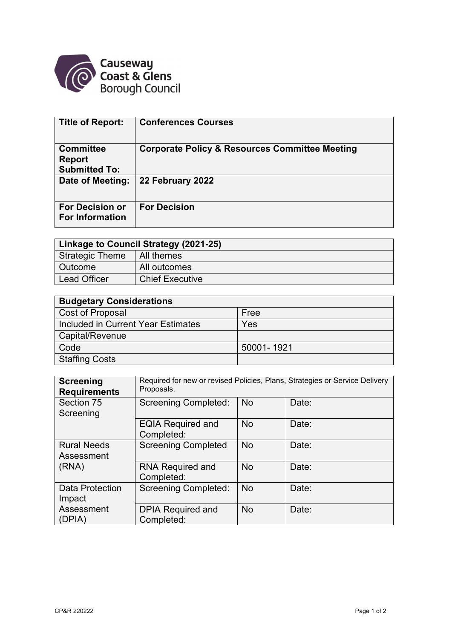

| <b>Title of Report:</b>                                   | <b>Conferences Courses</b>                                |
|-----------------------------------------------------------|-----------------------------------------------------------|
| <b>Committee</b><br><b>Report</b><br><b>Submitted To:</b> | <b>Corporate Policy &amp; Resources Committee Meeting</b> |
| Date of Meeting:                                          | 22 February 2022                                          |
| <b>For Decision or</b><br><b>For Information</b>          | <b>For Decision</b>                                       |

| Linkage to Council Strategy (2021-25) |                        |  |  |  |
|---------------------------------------|------------------------|--|--|--|
| <b>Strategic Theme</b>                | All themes             |  |  |  |
| <b>Outcome</b>                        | All outcomes           |  |  |  |
| <b>Lead Officer</b>                   | <b>Chief Executive</b> |  |  |  |

| <b>Budgetary Considerations</b>    |            |  |  |  |
|------------------------------------|------------|--|--|--|
| Cost of Proposal                   | Free       |  |  |  |
| Included in Current Year Estimates | Yes        |  |  |  |
| Capital/Revenue                    |            |  |  |  |
| Code                               | 50001-1921 |  |  |  |
| <b>Staffing Costs</b>              |            |  |  |  |

| <b>Screening</b><br><b>Requirements</b> | Required for new or revised Policies, Plans, Strategies or Service Delivery<br>Proposals. |           |       |  |
|-----------------------------------------|-------------------------------------------------------------------------------------------|-----------|-------|--|
| Section 75<br>Screening                 | <b>Screening Completed:</b>                                                               | <b>No</b> | Date: |  |
|                                         | <b>EQIA Required and</b><br>Completed:                                                    | <b>No</b> | Date: |  |
| <b>Rural Needs</b><br>Assessment        | <b>Screening Completed</b>                                                                | <b>No</b> | Date: |  |
| (RNA)                                   | <b>RNA Required and</b><br>Completed:                                                     | <b>No</b> | Date: |  |
| <b>Data Protection</b><br>Impact        | <b>Screening Completed:</b>                                                               | <b>No</b> | Date: |  |
| Assessment<br>(DPIA)                    | <b>DPIA Required and</b><br>Completed:                                                    | <b>No</b> | Date: |  |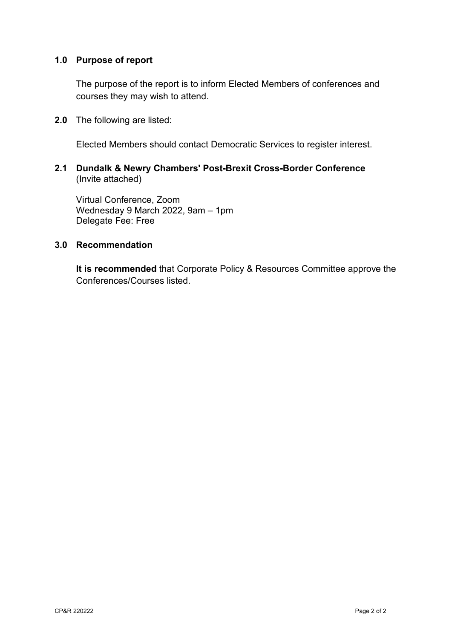### **1.0 Purpose of report**

 The purpose of the report is to inform Elected Members of conferences and courses they may wish to attend.

**2.0** The following are listed:

Elected Members should contact Democratic Services to register interest.

### **2.1 Dundalk & Newry Chambers' Post-Brexit Cross-Border Conference**  (Invite attached)

Virtual Conference, Zoom Wednesday 9 March 2022, 9am – 1pm Delegate Fee: Free

### **3.0 Recommendation**

**It is recommended** that Corporate Policy & Resources Committee approve the Conferences/Courses listed.